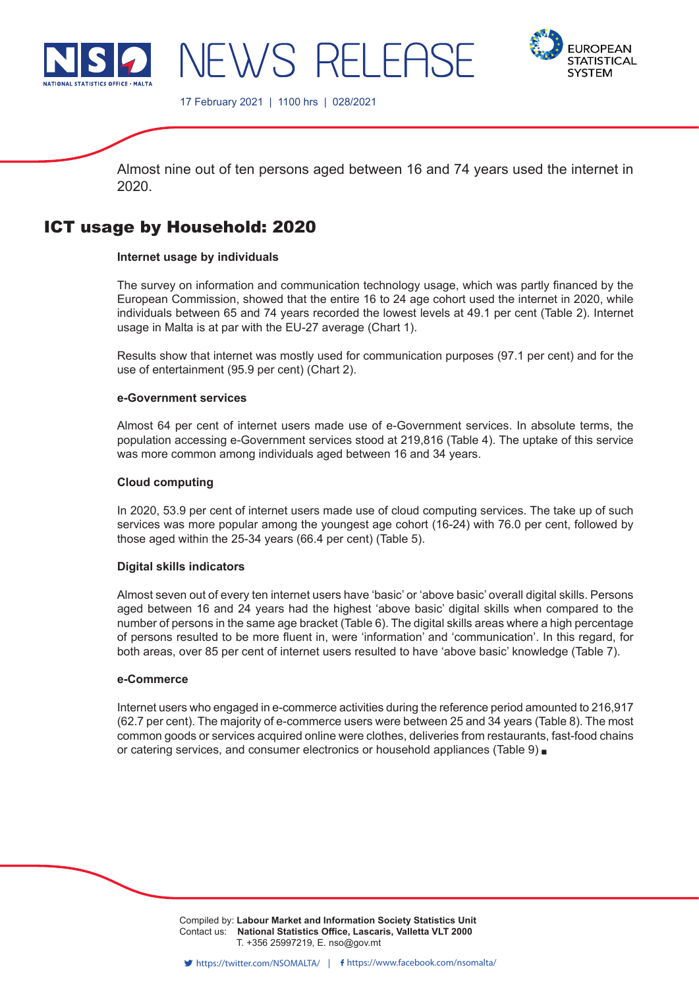



17 February 2021 | 1100 hrs | 028/2021

NEWS RELEASE

Almost nine out of ten persons aged between 16 and 74 years used the internet in 2020.

# ICT usage by Household: 2020

# **Internet usage by individuals**

The survey on information and communication technology usage, which was partly financed by the European Commission, showed that the entire 16 to 24 age cohort used the internet in 2020, while individuals between 65 and 74 years recorded the lowest levels at 49.1 per cent (Table 2). Internet usage in Malta is at par with the EU-27 average (Chart 1).

Results show that internet was mostly used for communication purposes (97.1 per cent) and for the use of entertainment (95.9 per cent) (Chart 2).

# **e-Government services**

Almost 64 per cent of internet users made use of e-Government services. In absolute terms, the population accessing e-Government services stood at 219,816 (Table 4). The uptake of this service was more common among individuals aged between 16 and 34 years.

# **Cloud computing**

In 2020, 53.9 per cent of internet users made use of cloud computing services. The take up of such services was more popular among the youngest age cohort (16-24) with 76.0 per cent, followed by those aged within the 25-34 years (66.4 per cent) (Table 5).

# **Digital skills indicators**

Almost seven out of every ten internet users have 'basic' or 'above basic' overall digital skills. Persons aged between 16 and 24 years had the highest 'above basic' digital skills when compared to the number of persons in the same age bracket (Table 6). The digital skills areas where a high percentage of persons resulted to be more fluent in, were 'information' and 'communication'. In this regard, for both areas, over 85 per cent of internet users resulted to have 'above basic' knowledge (Table 7).

# **e-Commerce**

Internet users who engaged in e-commerce activities during the reference period amounted to 216,917 (62.7 per cent). The majority of e-commerce users were between 25 and 34 years (Table 8). The most common goods or services acquired online were clothes, deliveries from restaurants, fast-food chains or catering services, and consumer electronics or household appliances (Table 9)

> Compiled by: **Labour Market and Information Society Statistics Unit**<br>Compiled by: **Labour Market and Information Society Statistics Unit** Contact us: **National Statistics Office, Lascaris, Valletta VLT 2000** Issued by: **Dissemination Unit, National Statistics Office, Lascaris, Valletta VLT 2000, Malta.** T. +356 25997219, E. nso@gov.mt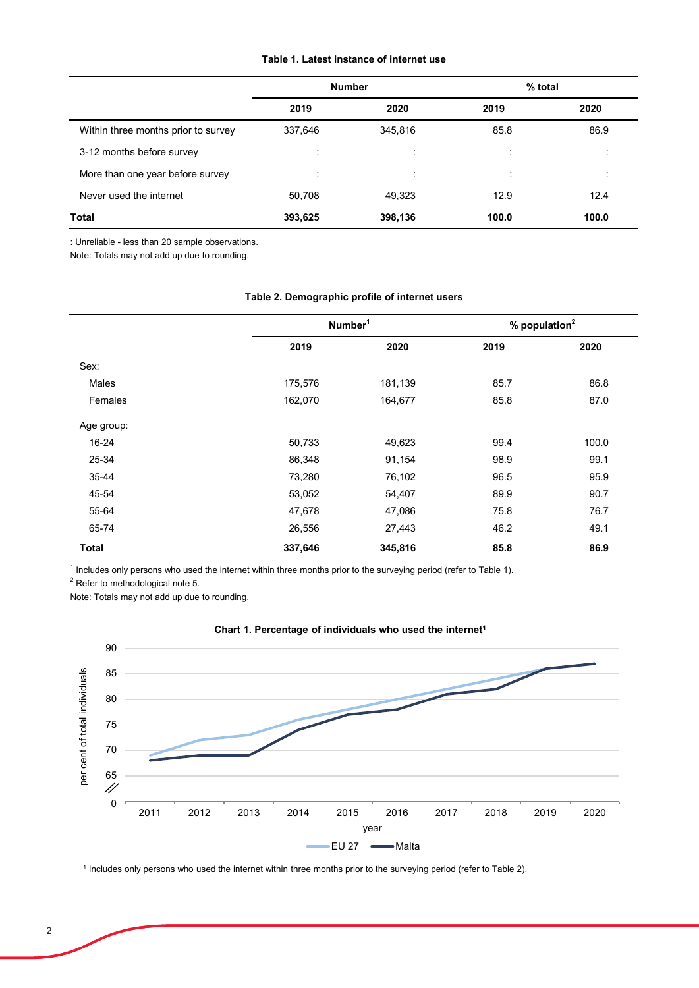### **Table 1. Latest instance of internet use**

|                                     | <b>Number</b> |                           | % total |         |
|-------------------------------------|---------------|---------------------------|---------|---------|
|                                     | 2019          | 2020                      | 2019    | 2020    |
| Within three months prior to survey | 337,646       | 345,816                   | 85.8    | 86.9    |
| 3-12 months before survey           | ٠<br>$\cdot$  | ٠<br>$\ddot{\phantom{0}}$ | ÷       | ٠       |
| More than one year before survey    | ÷             | $\mathbf{r}$              | ÷       | $\cdot$ |
| Never used the internet             | 50,708        | 49,323                    | 12.9    | 12.4    |
| Total                               | 393,625       | 398,136                   | 100.0   | 100.0   |

: Unreliable - less than 20 sample observations.

Note: Totals may not add up due to rounding.

|              |         | Number <sup>1</sup> |      | % population <sup>2</sup> |
|--------------|---------|---------------------|------|---------------------------|
|              | 2019    | 2020                | 2019 | 2020                      |
| Sex:         |         |                     |      |                           |
| Males        | 175,576 | 181,139             | 85.7 | 86.8                      |
| Females      | 162,070 | 164,677             | 85.8 | 87.0                      |
| Age group:   |         |                     |      |                           |
| 16-24        | 50,733  | 49,623              | 99.4 | 100.0                     |
| 25-34        | 86,348  | 91,154              | 98.9 | 99.1                      |
| 35-44        | 73,280  | 76,102              | 96.5 | 95.9                      |
| 45-54        | 53,052  | 54,407              | 89.9 | 90.7                      |
| 55-64        | 47,678  | 47,086              | 75.8 | 76.7                      |
| 65-74        | 26,556  | 27,443              | 46.2 | 49.1                      |
| <b>Total</b> | 337,646 | 345,816             | 85.8 | 86.9                      |

## **Table 2. Demographic profile of internet users**

<sup>1</sup> Includes only persons who used the internet within three months prior to the surveying period (refer to Table 1).

 $^2$  Refer to methodological note 5.

Note: Totals may not add up due to rounding.



# **Chart 1. Percentage of individuals who used the internet1**

<sup>1</sup> Includes only persons who used the internet within three months prior to the surveying period (refer to Table 2).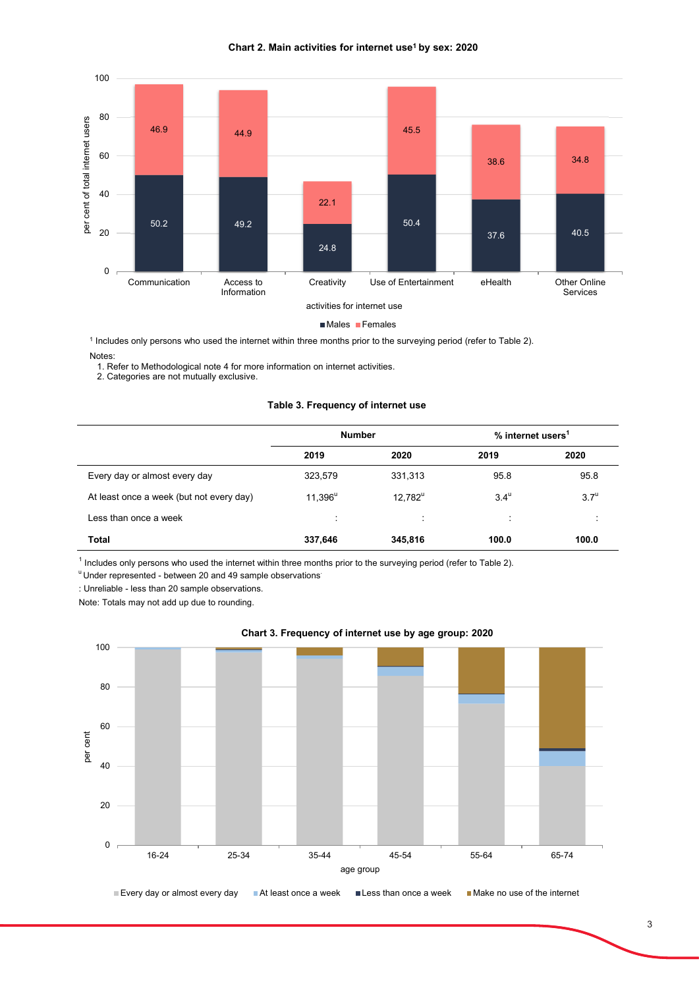



■Males Females

<sup>1</sup> Includes only persons who used the internet within three months prior to the surveying period (refer to Table 2).

#### Notes:

1. Refer to Methodological note 4 for more information on internet activities.

2. Categories are not mutually exclusive.

#### **Table 3. Frequency of internet use**

|                                          | <b>Number</b> |            | % internet users <sup>1</sup> |                    |
|------------------------------------------|---------------|------------|-------------------------------|--------------------|
|                                          | 2019          | 2020       | 2019                          | 2020               |
| Every day or almost every day            | 323,579       | 331,313    | 95.8                          | 95.8               |
| At least once a week (but not every day) | $11,396^u$    | $12,782^u$ | $3.4^{\mathrm{u}}$            | $3.7^{\mathrm{u}}$ |
| Less than once a week                    | ÷             | ÷          | ÷                             |                    |
| <b>Total</b>                             | 337,646       | 345,816    | 100.0                         | 100.0              |

<sup>1</sup> Includes only persons who used the internet within three months prior to the surveying period (refer to Table 2).

<sup>u</sup> Under represented - between 20 and 49 sample observations<sup>:</sup>

: Unreliable - less than 20 sample observations.

Note: Totals may not add up due to rounding.



### **Chart 3. Frequency of internet use by age group: 2020**

Every day or almost every day At least once a week Less than once a week Make no use of the internet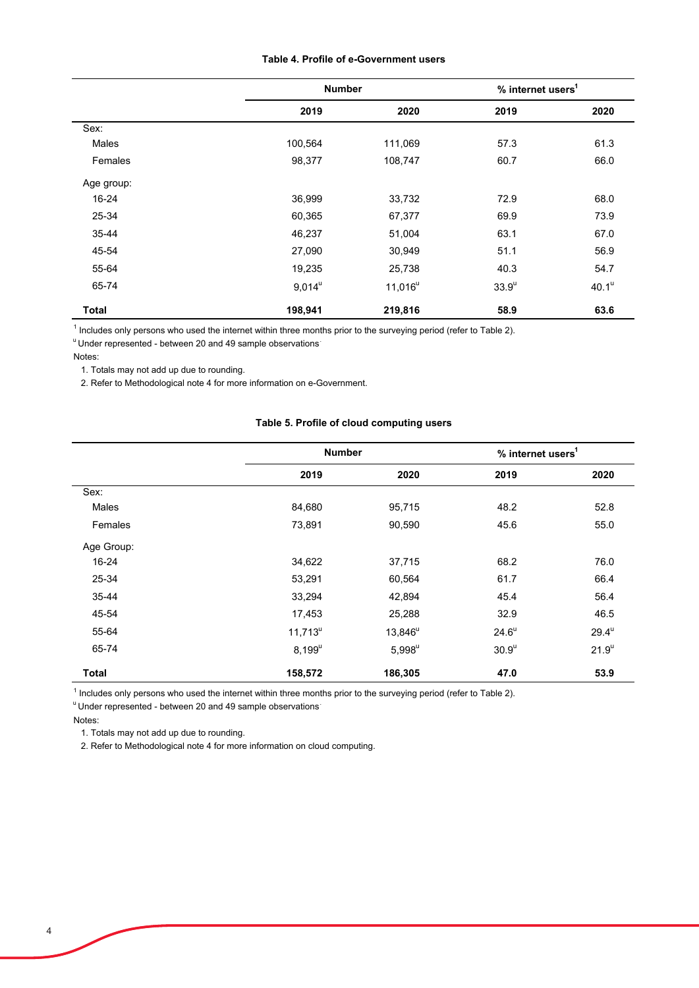#### **Table 4. Profile of e-Government users**

|              | <b>Number</b> |            | % internet users <sup>1</sup> |                   |
|--------------|---------------|------------|-------------------------------|-------------------|
|              | 2019          | 2020       | 2019                          | 2020              |
| Sex:         |               |            |                               |                   |
| Males        | 100,564       | 111,069    | 57.3                          | 61.3              |
| Females      | 98,377        | 108,747    | 60.7                          | 66.0              |
| Age group:   |               |            |                               |                   |
| 16-24        | 36,999        | 33,732     | 72.9                          | 68.0              |
| 25-34        | 60,365        | 67,377     | 69.9                          | 73.9              |
| 35-44        | 46,237        | 51,004     | 63.1                          | 67.0              |
| 45-54        | 27,090        | 30,949     | 51.1                          | 56.9              |
| 55-64        | 19,235        | 25,738     | 40.3                          | 54.7              |
| 65-74        | $9,014^u$     | $11,016^u$ | 33.9 <sup>u</sup>             | 40.1 <sup>u</sup> |
| <b>Total</b> | 198,941       | 219,816    | 58.9                          | 63.6              |

<sup>1</sup> Includes only persons who used the internet within three months prior to the surveying period (refer to Table 2).

<sup>u</sup> Under represented - between 20 and 49 sample observations

Notes:

1. Totals may not add up due to rounding.

2. Refer to Methodological note 4 for more information on e-Government.

## **Table 5. Profile of cloud computing users**

|              | <b>Number</b> |            | % internet users <sup>1</sup> |                     |
|--------------|---------------|------------|-------------------------------|---------------------|
|              | 2019          | 2020       | 2019                          | 2020                |
| Sex:         |               |            |                               |                     |
| <b>Males</b> | 84,680        | 95,715     | 48.2                          | 52.8                |
| Females      | 73,891        | 90,590     | 45.6                          | 55.0                |
| Age Group:   |               |            |                               |                     |
| $16 - 24$    | 34,622        | 37,715     | 68.2                          | 76.0                |
| 25-34        | 53,291        | 60,564     | 61.7                          | 66.4                |
| 35-44        | 33,294        | 42,894     | 45.4                          | 56.4                |
| 45-54        | 17,453        | 25,288     | 32.9                          | 46.5                |
| 55-64        | $11,713^u$    | $13,846^u$ | $24.6^u$                      | $29.4^{\mathrm{u}}$ |
| 65-74        | $8,199^u$     | $5,998^u$  | 30.9 <sup>u</sup>             | $21.9^u$            |
| <b>Total</b> | 158,572       | 186,305    | 47.0                          | 53.9                |

<sup>1</sup> Includes only persons who used the internet within three months prior to the surveying period (refer to Table 2).

<sup>u</sup> Under represented - between 20 and 49 sample observations<sup>.</sup>

Notes:

1. Totals may not add up due to rounding.

2. Refer to Methodological note 4 for more information on cloud computing.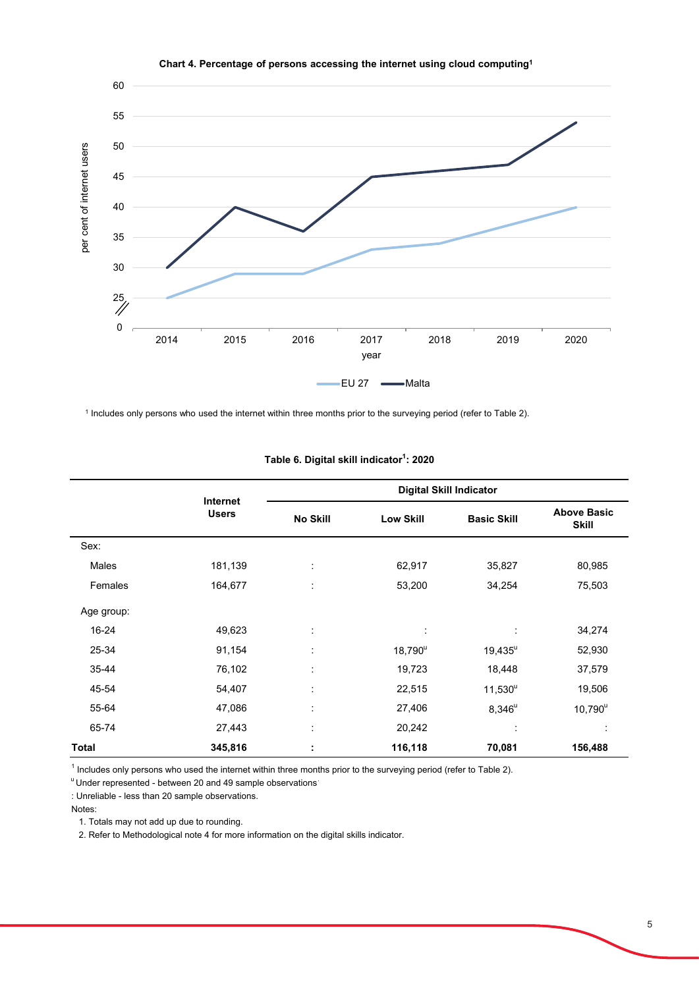

**Chart 4. Percentage of persons accessing the internet using cloud computing1**

<sup>1</sup> Includes only persons who used the internet within three months prior to the surveying period (refer to Table 2).

|            |                          |                     |                  | <b>Digital Skill Indicator</b> |                                    |
|------------|--------------------------|---------------------|------------------|--------------------------------|------------------------------------|
|            | Internet<br><b>Users</b> | <b>No Skill</b>     | <b>Low Skill</b> | <b>Basic Skill</b>             | <b>Above Basic</b><br><b>Skill</b> |
| Sex:       |                          |                     |                  |                                |                                    |
| Males      | 181,139                  | ÷                   | 62,917           | 35,827                         | 80,985                             |
| Females    | 164,677                  | ÷                   | 53,200           | 34,254                         | 75,503                             |
| Age group: |                          |                     |                  |                                |                                    |
| 16-24      | 49,623                   | ÷                   | ÷                | ÷                              | 34,274                             |
| 25-34      | 91,154                   | ÷                   | $18,790^{\circ}$ | $19.435^{\circ}$               | 52,930                             |
| 35-44      | 76,102                   | ÷                   | 19,723           | 18,448                         | 37,579                             |
| 45-54      | 54,407                   | ÷                   | 22,515           | $11,530^u$                     | 19,506                             |
| 55-64      | 47,086                   | ٠<br>$\blacksquare$ | 27,406           | $8,346^u$                      | $10,790^u$                         |
| 65-74      | 27,443                   | ÷                   | 20,242           | ÷                              |                                    |
| Total      | 345,816                  | ÷                   | 116,118          | 70,081                         | 156,488                            |

#### **Table 6. Digital skill indicator1 : 2020**

<sup>1</sup> Includes only persons who used the internet within three months prior to the surveying period (refer to Table 2).

<sup>u</sup> Under represented - between 20 and 49 sample observations

: Unreliable - less than 20 sample observations.

Notes:

1. Totals may not add up due to rounding.

2. Refer to Methodological note 4 for more information on the digital skills indicator.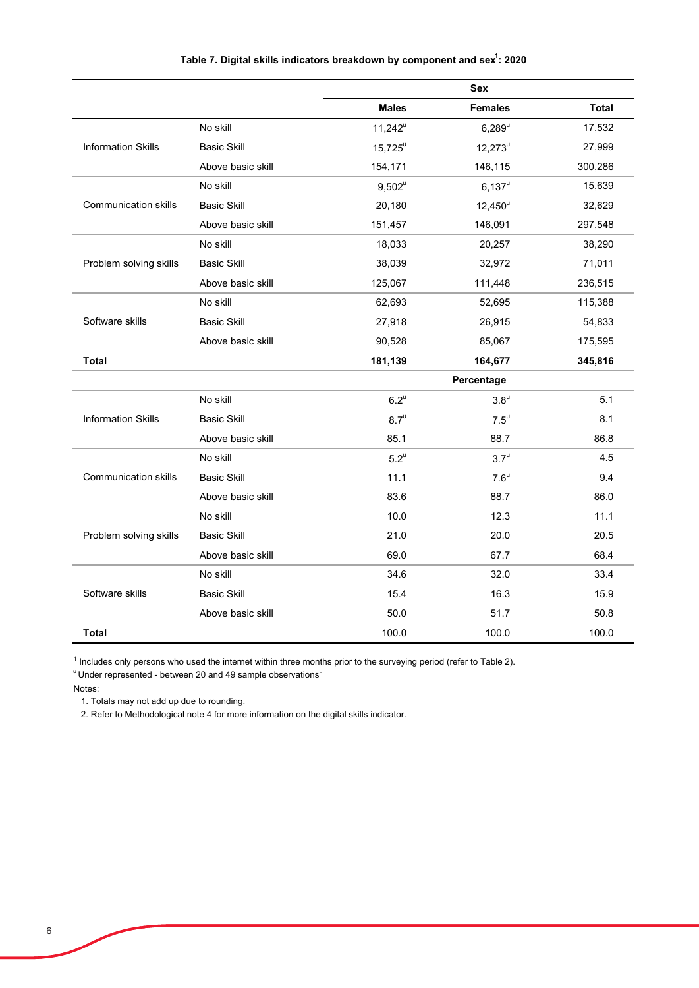|                             |                    |                    | <b>Sex</b>         |              |
|-----------------------------|--------------------|--------------------|--------------------|--------------|
|                             |                    | <b>Males</b>       | <b>Females</b>     | <b>Total</b> |
|                             | No skill           | $11,242^u$         | $6,289^u$          | 17,532       |
| <b>Information Skills</b>   | <b>Basic Skill</b> | $15.725^u$         | $12,273^u$         | 27,999       |
|                             | Above basic skill  | 154,171            | 146,115            | 300,286      |
|                             | No skill           | $9,502^u$          | $6,137^u$          | 15,639       |
| <b>Communication skills</b> | <b>Basic Skill</b> | 20,180             | $12,450^u$         | 32,629       |
|                             | Above basic skill  | 151,457            | 146,091            | 297,548      |
|                             | No skill           | 18,033             | 20,257             | 38,290       |
| Problem solving skills      | <b>Basic Skill</b> | 38,039             | 32,972             | 71,011       |
|                             | Above basic skill  | 125,067            | 111,448            | 236,515      |
|                             | No skill           | 62,693             | 52,695             | 115,388      |
| Software skills             | <b>Basic Skill</b> | 27,918             | 26,915             | 54,833       |
|                             | Above basic skill  | 90,528             | 85,067             | 175,595      |
| Total                       |                    | 181,139            | 164,677            | 345,816      |
|                             |                    |                    | Percentage         |              |
|                             | No skill           | $6.2^{\mathrm{u}}$ | $3.8^{\rm u}$      | 5.1          |
| <b>Information Skills</b>   | <b>Basic Skill</b> | $8.7^{\mathrm{u}}$ | $7.5^{\mathrm{u}}$ | 8.1          |
|                             | Above basic skill  | 85.1               | 88.7               | 86.8         |
|                             | No skill           | $5.2^u$            | $3.7^{\mathrm{u}}$ | 4.5          |
| <b>Communication skills</b> | <b>Basic Skill</b> | 11.1               | $7.6^{\mathrm{u}}$ | 9.4          |
|                             | Above basic skill  | 83.6               | 88.7               | 86.0         |
|                             | No skill           | 10.0               | 12.3               | 11.1         |
| Problem solving skills      | <b>Basic Skill</b> | 21.0               | 20.0               | 20.5         |
|                             | Above basic skill  | 69.0               | 67.7               | 68.4         |
|                             | No skill           | 34.6               | 32.0               | 33.4         |
| Software skills             | <b>Basic Skill</b> | 15.4               | 16.3               | 15.9         |
|                             | Above basic skill  | 50.0               | 51.7               | 50.8         |
| Total                       |                    | 100.0              | 100.0              | 100.0        |

Table 7. Digital skills indicators breakdown by component and sex<sup>1</sup>: 2020

<sup>1</sup> Includes only persons who used the internet within three months prior to the surveying period (refer to Table 2).

u Under represented - between 20 and 49 sample observations.

Notes:

1. Totals may not add up due to rounding.

2. Refer to Methodological note 4 for more information on the digital skills indicator.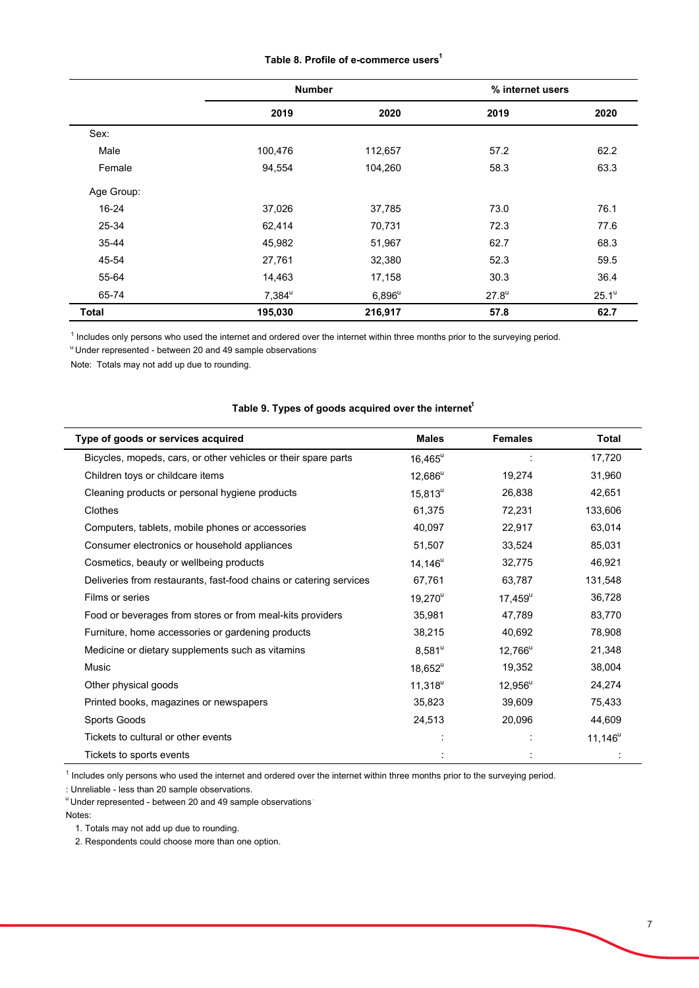|  | Table 8. Profile of e-commerce users <sup>1</sup> |  |
|--|---------------------------------------------------|--|
|--|---------------------------------------------------|--|

|              | <b>Number</b>        |           | % internet users |                   |
|--------------|----------------------|-----------|------------------|-------------------|
|              | 2019                 | 2020      | 2019             | 2020              |
| Sex:         |                      |           |                  |                   |
| Male         | 100,476              | 112,657   | 57.2             | 62.2              |
| Female       | 94,554               | 104,260   | 58.3             | 63.3              |
| Age Group:   |                      |           |                  |                   |
| 16-24        | 37,026               | 37,785    | 73.0             | 76.1              |
| 25-34        | 62,414               | 70,731    | 72.3             | 77.6              |
| 35-44        | 45,982               | 51,967    | 62.7             | 68.3              |
| 45-54        | 27,761               | 32,380    | 52.3             | 59.5              |
| 55-64        | 14,463               | 17,158    | 30.3             | 36.4              |
| 65-74        | $7,384^{\mathrm{u}}$ | $6,896^u$ | $27.8^u$         | 25.1 <sup>u</sup> |
| <b>Total</b> | 195,030              | 216,917   | 57.8             | 62.7              |

<sup>1</sup> Includes only persons who used the internet and ordered over the internet within three months prior to the surveying period.

<sup>u</sup> Under represented - between 20 and 49 sample observations<sup>:</sup>

Note: Totals may not add up due to rounding.

# Table 9. Types of goods acquired over the internet<sup>1</sup>

| Type of goods or services acquired                                 | <b>Males</b>     | <b>Females</b>   | <b>Total</b> |
|--------------------------------------------------------------------|------------------|------------------|--------------|
| Bicycles, mopeds, cars, or other vehicles or their spare parts     | $16,465^{\circ}$ |                  | 17,720       |
| Children toys or childcare items                                   | $12,686^u$       | 19,274           | 31,960       |
| Cleaning products or personal hygiene products                     | $15,813^u$       | 26,838           | 42,651       |
| Clothes                                                            | 61,375           | 72,231           | 133,606      |
| Computers, tablets, mobile phones or accessories                   | 40,097           | 22,917           | 63,014       |
| Consumer electronics or household appliances                       | 51,507           | 33,524           | 85,031       |
| Cosmetics, beauty or wellbeing products                            | $14,146^u$       | 32,775           | 46,921       |
| Deliveries from restaurants, fast-food chains or catering services | 67,761           | 63,787           | 131,548      |
| Films or series                                                    | $19,270^{\circ}$ | $17,459^{\circ}$ | 36,728       |
| Food or beverages from stores or from meal-kits providers          | 35,981           | 47,789           | 83,770       |
| Furniture, home accessories or gardening products                  | 38,215           | 40,692           | 78,908       |
| Medicine or dietary supplements such as vitamins                   | $8,581^{\circ}$  | $12,766^u$       | 21,348       |
| <b>Music</b>                                                       | $18,652^u$       | 19,352           | 38,004       |
| Other physical goods                                               | $11,318^u$       | $12,956^u$       | 24,274       |
| Printed books, magazines or newspapers                             | 35,823           | 39,609           | 75,433       |
| Sports Goods                                                       | 24,513           | 20,096           | 44,609       |
| Tickets to cultural or other events                                |                  |                  | $11,146^u$   |
| Tickets to sports events                                           |                  |                  |              |

<sup>1</sup> Includes only persons who used the internet and ordered over the internet within three months prior to the surveying period.

: Unreliable - less than 20 sample observations.

<sup>u</sup> Under represented - between 20 and 49 sample observations Notes:

1. Totals may not add up due to rounding.

2. Respondents could choose more than one option.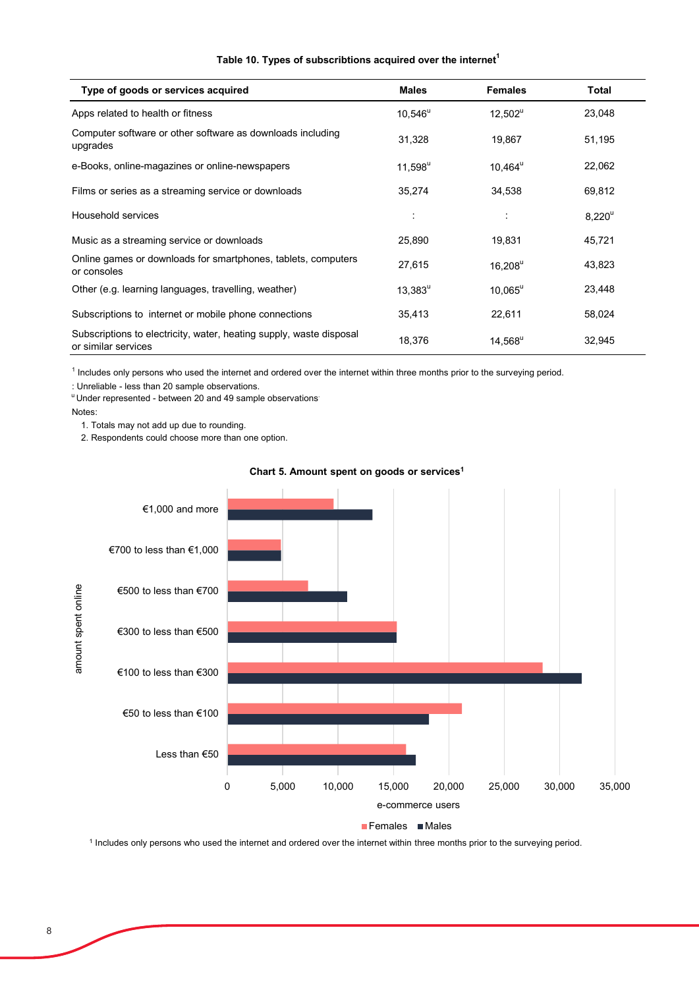### **Table 10. Types of subscribtions acquired over the internet<sup>1</sup>**

| Type of goods or services acquired                                                         | <b>Males</b> | <b>Females</b>   | Total     |
|--------------------------------------------------------------------------------------------|--------------|------------------|-----------|
| Apps related to health or fitness                                                          | $10,546^u$   | $12,502^u$       | 23,048    |
| Computer software or other software as downloads including<br>upgrades                     | 31,328       | 19,867           | 51,195    |
| e-Books, online-magazines or online-newspapers                                             | $11,598^u$   | $10,464^{\circ}$ | 22,062    |
| Films or series as a streaming service or downloads                                        | 35,274       | 34,538           | 69,812    |
| Household services                                                                         | ÷            | ÷                | $8,220^u$ |
| Music as a streaming service or downloads                                                  | 25,890       | 19,831           | 45,721    |
| Online games or downloads for smartphones, tablets, computers<br>or consoles               | 27,615       | $16,208^u$       | 43,823    |
| Other (e.g. learning languages, travelling, weather)                                       | $13,383^u$   | $10,065^u$       | 23,448    |
| Subscriptions to internet or mobile phone connections                                      | 35,413       | 22,611           | 58,024    |
| Subscriptions to electricity, water, heating supply, waste disposal<br>or similar services | 18,376       | $14,568^{\circ}$ | 32,945    |

<sup>1</sup> Includes only persons who used the internet and ordered over the internet within three months prior to the surveying period.

: Unreliable - less than 20 sample observations.

<sup>u</sup> Under represented - between 20 and 49 sample observations

Notes:

1. Totals may not add up due to rounding.

2. Respondents could choose more than one option.



#### **Chart 5. Amount spent on goods or services1**

<sup>1</sup> Includes only persons who used the internet and ordered over the internet within three months prior to the surveying period.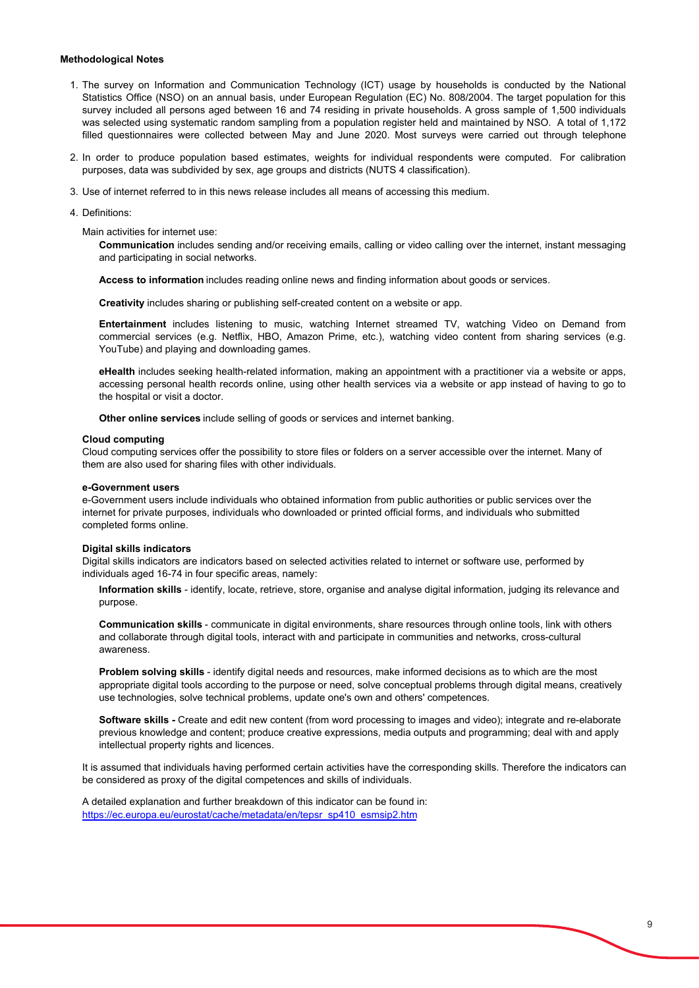#### **Methodological Notes**

- 1. The survey on Information and Communication Technology (ICT) usage by households is conducted by the National Statistics Office (NSO) on an annual basis, under European Regulation (EC) No. 808/2004. The target population for this survey included all persons aged between 16 and 74 residing in private households. A gross sample of 1,500 individuals was selected using systematic random sampling from a population register held and maintained by NSO. A total of 1,172 filled questionnaires were collected between May and June 2020. Most surveys were carried out through telephone
- 2. In order to produce population based estimates, weights for individual respondents were computed. For calibration purposes, data was subdivided by sex, age groups and districts (NUTS 4 classification).
- 3. Use of internet referred to in this news release includes all means of accessing this medium.
- 4. Definitions:

Main activities for internet use:

**Communication** includes sending and/or receiving emails, calling or video calling over the internet, instant messaging and participating in social networks.

**Access to information** includes reading online news and finding information about goods or services.

**Creativity** includes sharing or publishing self-created content on a website or app.

**Entertainment** includes listening to music, watching Internet streamed TV, watching Video on Demand from commercial services (e.g. Netflix, HBO, Amazon Prime, etc.), watching video content from sharing services (e.g. YouTube) and playing and downloading games.

**eHealth** includes seeking health-related information, making an appointment with a practitioner via a website or apps, accessing personal health records online, using other health services via a website or app instead of having to go to the hospital or visit a doctor.

**Other online services** include selling of goods or services and internet banking.

#### **Cloud computing**

Cloud computing services offer the possibility to store files or folders on a server accessible over the internet. Many of them are also used for sharing files with other individuals.

#### **e-Government users**

e-Government users include individuals who obtained information from public authorities or public services over the internet for private purposes, individuals who downloaded or printed official forms, and individuals who submitted completed forms online.

#### **Digital skills indicators**

Digital skills indicators are indicators based on selected activities related to internet or software use, performed by individuals aged 16-74 in four specific areas, namely:

**Information skills** - identify, locate, retrieve, store, organise and analyse digital information, judging its relevance and purpose.

**Communication skills** - communicate in digital environments, share resources through online tools, link with others and collaborate through digital tools, interact with and participate in communities and networks, cross-cultural awareness.

**Problem solving skills** - identify digital needs and resources, make informed decisions as to which are the most appropriate digital tools according to the purpose or need, solve conceptual problems through digital means, creatively use technologies, solve technical problems, update one's own and others' competences.

**Software skills -** Create and edit new content (from word processing to images and video); integrate and re-elaborate previous knowledge and content; produce creative expressions, media outputs and programming; deal with and apply intellectual property rights and licences.

It is assumed that individuals having performed certain activities have the corresponding skills. Therefore the indicators can be considered as proxy of the digital competences and skills of individuals.

A detailed explanation and further breakdown of this indicator can be found in: https://ec.europa.eu/eurostat/cache/metadata/en/tepsr\_sp410\_esmsip2.htm